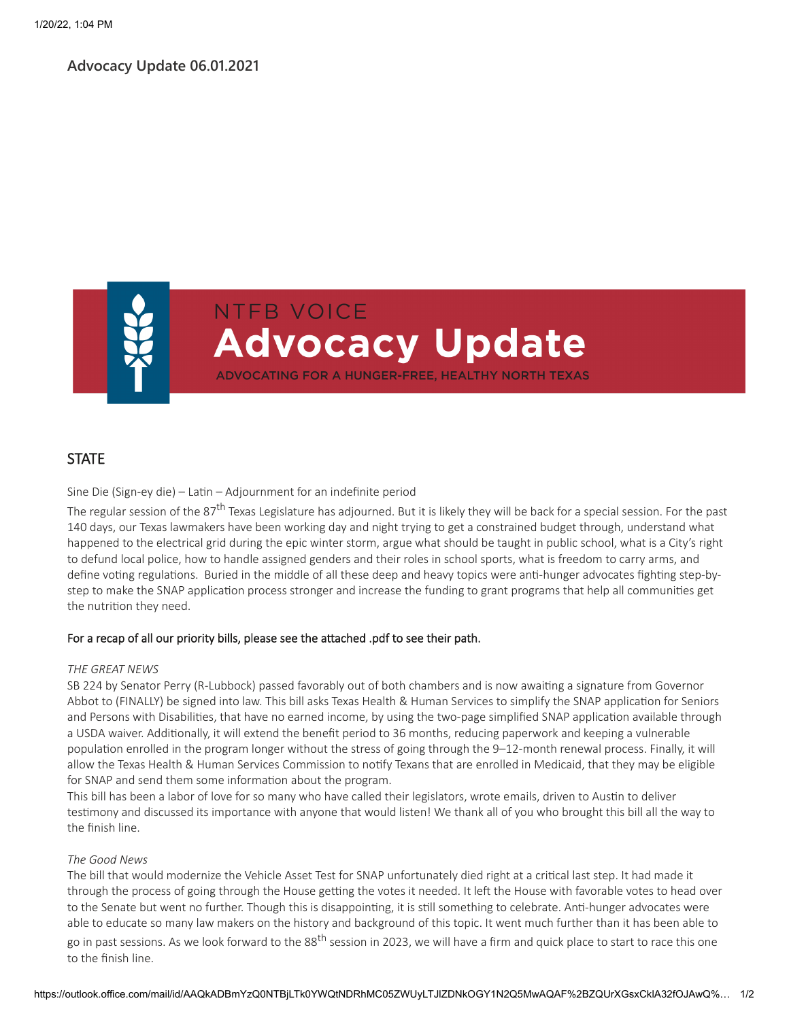### **Advocacy Update 06.01.2021**



**NTFB VOICE Advocacy Update** ADVOCATING FOR A HUNGER-FREE, HEALTHY NORTH TEXAS

# **STATE**

Sine Die (Sign-ey die) – Latin – Adjournment for an indefinite period

The regular session of the 87<sup>th</sup> Texas Legislature has adjourned. But it is likely they will be back for a special session. For the past 140 days, our Texas lawmakers have been working day and night trying to get a constrained budget through, understand what happened to the electrical grid during the epic winter storm, argue what should be taught in public school, what is a City's right to defund local police, how to handle assigned genders and their roles in school sports, what is freedom to carry arms, and define voting regulations. Buried in the middle of all these deep and heavy topics were anti-hunger advocates fighting step-bystep to make the SNAP application process stronger and increase the funding to grant programs that help all communities get the nutrition they need.

### For a recap of all our priority bills, please see the attached .pdf to see their path.

#### *THE GREAT NEWS*

SB 224 by Senator Perry (R-Lubbock) passed favorably out of both chambers and is now awaiting a signature from Governor Abbot to (FINALLY) be signed into law. This bill asks Texas Health & Human Services to simplify the SNAP application for Seniors and Persons with Disabilities, that have no earned income, by using the two-page simplified SNAP application available through a USDA waiver. Additionally, it will extend the benefit period to 36 months, reducing paperwork and keeping a vulnerable population enrolled in the program longer without the stress of going through the 9–12-month renewal process. Finally, it will allow the Texas Health & Human Services Commission to notify Texans that are enrolled in Medicaid, that they may be eligible for SNAP and send them some information about the program.

This bill has been a labor of love for so many who have called their legislators, wrote emails, driven to Austin to deliver testimony and discussed its importance with anyone that would listen! We thank all of you who brought this bill all the way to the finish line.

#### *The Good News*

The bill that would modernize the Vehicle Asset Test for SNAP unfortunately died right at a critical last step. It had made it through the process of going through the House getting the votes it needed. It left the House with favorable votes to head over to the Senate but went no further. Though this is disappointing, it is still something to celebrate. Anti-hunger advocates were able to educate so many law makers on the history and background of this topic. It went much further than it has been able to go in past sessions. As we look forward to the 88<sup>th</sup> session in 2023, we will have a firm and quick place to start to race this one

to the finish line.